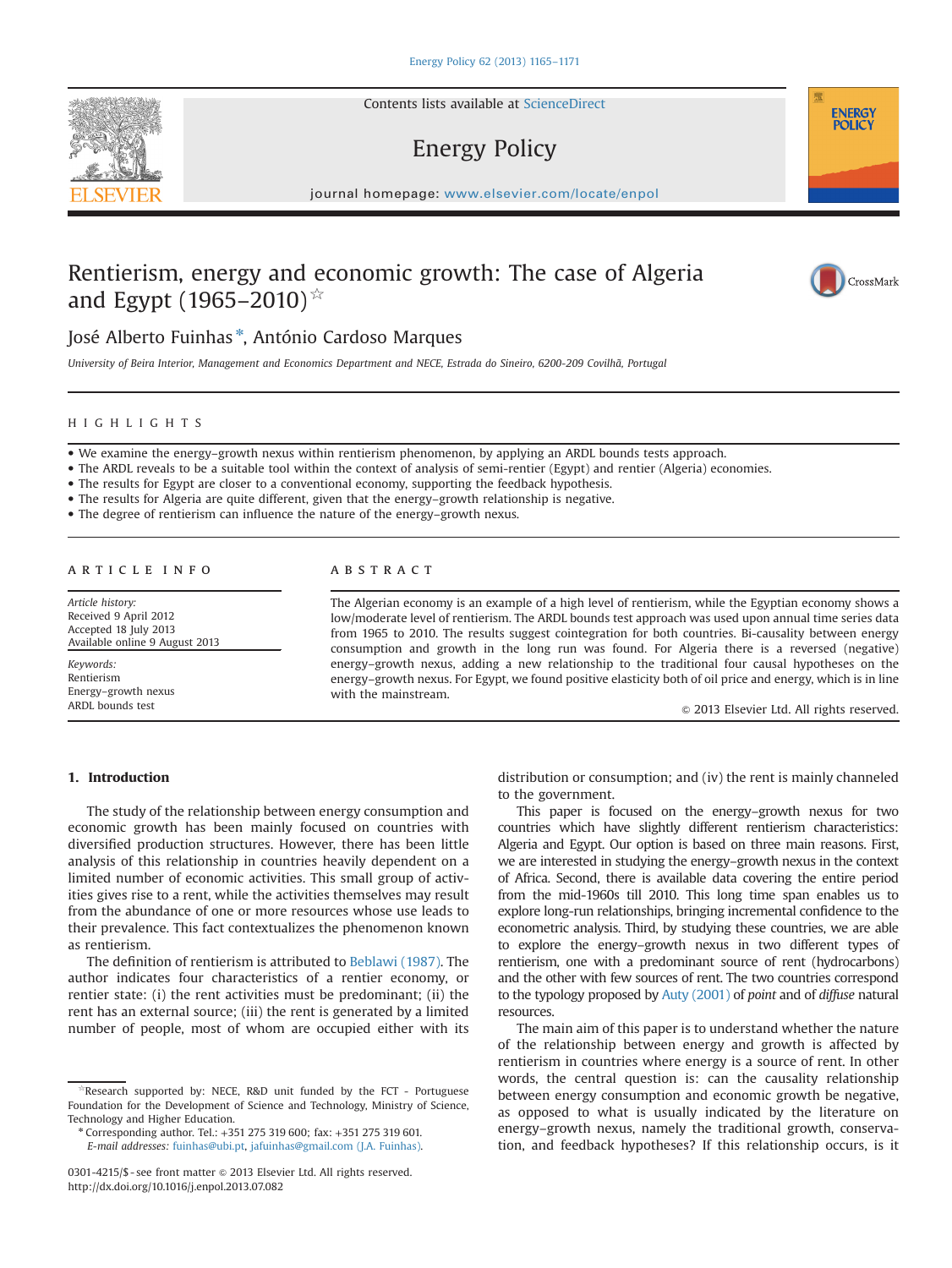Contents lists available at [ScienceDirect](www.sciencedirect.com/science/journal/03014215)

# Energy Policy

journal homepage: <www.elsevier.com/locate/enpol>e  $\mathcal{N}$ 

## Rentierism, energy and economic growth: The case of Algeria and Egypt (1965–2010) $\frac{1}{x}$



University of Beira Interior, Management and Economics Department and NECE, Estrada do Sineiro, 6200-209 Covilhã, Portugal

## **HIGHTS**

We examine the energy–growth nexus within rentierism phenomenon, by applying an ARDL bounds tests approach.

The ARDL reveals to be a suitable tool within the context of analysis of semi-rentier (Egypt) and rentier (Algeria) economies.

The results for Egypt are closer to a conventional economy, supporting the feedback hypothesis.

The results for Algeria are quite different, given that the energy–growth relationship is negative.

The degree of rentierism can influence the nature of the energy–growth nexus.

### article info

Article history: Received 9 April 2012 Accepted 18 July 2013 Available online 9 August 2013

Keywords: Rentierism Energy–growth nexus ARDL bounds test

### **ABSTRACT**

The Algerian economy is an example of a high level of rentierism, while the Egyptian economy shows a low/moderate level of rentierism. The ARDL bounds test approach was used upon annual time series data from 1965 to 2010. The results suggest cointegration for both countries. Bi-causality between energy consumption and growth in the long run was found. For Algeria there is a reversed (negative) energy–growth nexus, adding a new relationship to the traditional four causal hypotheses on the energy–growth nexus. For Egypt, we found positive elasticity both of oil price and energy, which is in line with the mainstream.

 $©$  2013 Elsevier Ltd. All rights reserved.

#### 1. Introduction

The study of the relationship between energy consumption and economic growth has been mainly focused on countries with diversified production structures. However, there has been little analysis of this relationship in countries heavily dependent on a limited number of economic activities. This small group of activities gives rise to a rent, while the activities themselves may result from the abundance of one or more resources whose use leads to their prevalence. This fact contextualizes the phenomenon known as rentierism.

The definition of rentierism is attributed to [Beblawi \(1987\).](#page--1-0) The author indicates four characteristics of a rentier economy, or rentier state: (i) the rent activities must be predominant; (ii) the rent has an external source; (iii) the rent is generated by a limited number of people, most of whom are occupied either with its

<sup>n</sup> Corresponding author. Tel.: +351 275 319 600; fax: +351 275 319 601. E-mail addresses: [fuinhas@ubi.pt](mailto:fuinhas@ubi.pt), [jafuinhas@gmail.com \(J.A. Fuinhas\)](mailto:jafuinhas@gmail.com). distribution or consumption; and (iv) the rent is mainly channeled to the government.

This paper is focused on the energy–growth nexus for two countries which have slightly different rentierism characteristics: Algeria and Egypt. Our option is based on three main reasons. First, we are interested in studying the energy–growth nexus in the context of Africa. Second, there is available data covering the entire period from the mid-1960s till 2010. This long time span enables us to explore long-run relationships, bringing incremental confidence to the econometric analysis. Third, by studying these countries, we are able to explore the energy–growth nexus in two different types of rentierism, one with a predominant source of rent (hydrocarbons) and the other with few sources of rent. The two countries correspond to the typology proposed by [Auty \(2001\)](#page--1-0) of point and of diffuse natural resources.

The main aim of this paper is to understand whether the nature of the relationship between energy and growth is affected by rentierism in countries where energy is a source of rent. In other words, the central question is: can the causality relationship between energy consumption and economic growth be negative, as opposed to what is usually indicated by the literature on energy–growth nexus, namely the traditional growth, conservation, and feedback hypotheses? If this relationship occurs, is it





**ENERGY POLIC** 

Research supported by: NECE, R&D unit funded by the FCT - Portuguese Foundation for the Development of Science and Technology, Ministry of Science, Technology and Higher Education.

<sup>0301-4215/\$ -</sup> see front matter  $\odot$  2013 Elsevier Ltd. All rights reserved. <http://dx.doi.org/10.1016/j.enpol.2013.07.082>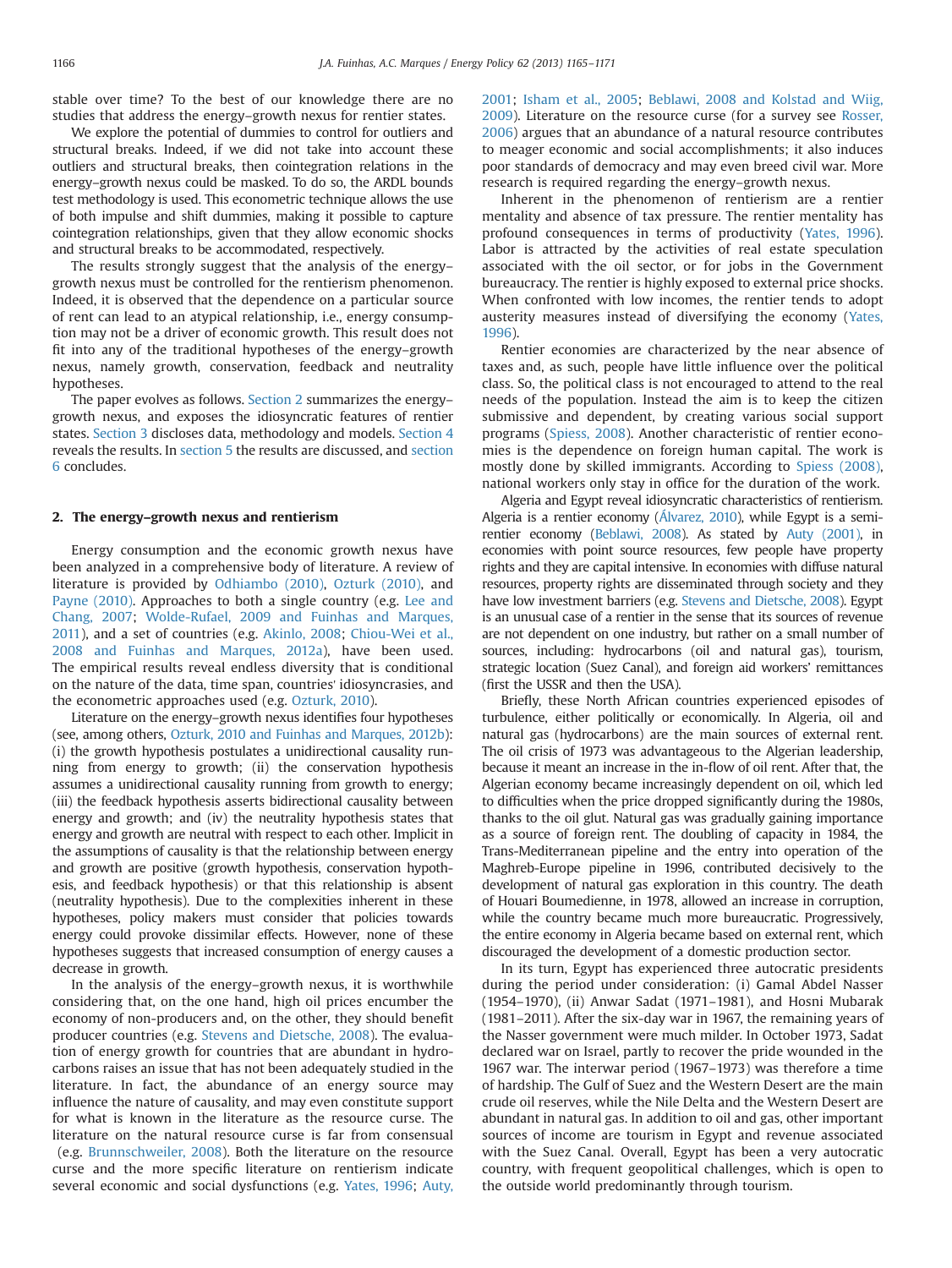stable over time? To the best of our knowledge there are no studies that address the energy–growth nexus for rentier states.

We explore the potential of dummies to control for outliers and structural breaks. Indeed, if we did not take into account these outliers and structural breaks, then cointegration relations in the energy–growth nexus could be masked. To do so, the ARDL bounds test methodology is used. This econometric technique allows the use of both impulse and shift dummies, making it possible to capture cointegration relationships, given that they allow economic shocks and structural breaks to be accommodated, respectively.

The results strongly suggest that the analysis of the energy– growth nexus must be controlled for the rentierism phenomenon. Indeed, it is observed that the dependence on a particular source of rent can lead to an atypical relationship, i.e., energy consumption may not be a driver of economic growth. This result does not fit into any of the traditional hypotheses of the energy–growth nexus, namely growth, conservation, feedback and neutrality hypotheses.

The paper evolves as follows. Section 2 summarizes the energy– growth nexus, and exposes the idiosyncratic features of rentier states. [Section 3](#page--1-0) discloses data, methodology and models. [Section 4](#page--1-0) reveals the results. In [section 5](#page--1-0) the results are discussed, and [section](#page--1-0) [6](#page--1-0) concludes.

#### 2. The energy–growth nexus and rentierism

Energy consumption and the economic growth nexus have been analyzed in a comprehensive body of literature. A review of literature is provided by [Odhiambo \(2010\),](#page--1-0) [Ozturk \(2010\)](#page--1-0), and [Payne \(2010\).](#page--1-0) Approaches to both a single country (e.g. [Lee and](#page--1-0) [Chang, 2007;](#page--1-0) [Wolde-Rufael, 2009 and Fuinhas and Marques,](#page--1-0) [2011\)](#page--1-0), and a set of countries (e.g. [Akinlo, 2008;](#page--1-0) [Chiou-Wei et al.,](#page--1-0) [2008 and Fuinhas and Marques, 2012a\)](#page--1-0), have been used. The empirical results reveal endless diversity that is conditional on the nature of the data, time span, countries' idiosyncrasies, and the econometric approaches used (e.g. [Ozturk, 2010](#page--1-0)).

Literature on the energy–growth nexus identifies four hypotheses (see, among others, [Ozturk, 2010 and Fuinhas and Marques, 2012b](#page--1-0)): (i) the growth hypothesis postulates a unidirectional causality running from energy to growth; (ii) the conservation hypothesis assumes a unidirectional causality running from growth to energy; (iii) the feedback hypothesis asserts bidirectional causality between energy and growth; and (iv) the neutrality hypothesis states that energy and growth are neutral with respect to each other. Implicit in the assumptions of causality is that the relationship between energy and growth are positive (growth hypothesis, conservation hypothesis, and feedback hypothesis) or that this relationship is absent (neutrality hypothesis). Due to the complexities inherent in these hypotheses, policy makers must consider that policies towards energy could provoke dissimilar effects. However, none of these hypotheses suggests that increased consumption of energy causes a decrease in growth.

In the analysis of the energy–growth nexus, it is worthwhile considering that, on the one hand, high oil prices encumber the economy of non-producers and, on the other, they should benefit producer countries (e.g. [Stevens and Dietsche, 2008](#page--1-0)). The evaluation of energy growth for countries that are abundant in hydrocarbons raises an issue that has not been adequately studied in the literature. In fact, the abundance of an energy source may influence the nature of causality, and may even constitute support for what is known in the literature as the resource curse. The literature on the natural resource curse is far from consensual (e.g. [Brunnschweiler, 2008\)](#page--1-0). Both the literature on the resource curse and the more specific literature on rentierism indicate several economic and social dysfunctions (e.g. [Yates, 1996](#page--1-0); [Auty,](#page--1-0) [2001;](#page--1-0) [Isham et al., 2005](#page--1-0); [Beblawi, 2008 and Kolstad and Wiig,](#page--1-0) [2009\)](#page--1-0). Literature on the resource curse (for a survey see [Rosser,](#page--1-0) [2006](#page--1-0)) argues that an abundance of a natural resource contributes to meager economic and social accomplishments; it also induces poor standards of democracy and may even breed civil war. More research is required regarding the energy–growth nexus.

Inherent in the phenomenon of rentierism are a rentier mentality and absence of tax pressure. The rentier mentality has profound consequences in terms of productivity ([Yates, 1996\)](#page--1-0). Labor is attracted by the activities of real estate speculation associated with the oil sector, or for jobs in the Government bureaucracy. The rentier is highly exposed to external price shocks. When confronted with low incomes, the rentier tends to adopt austerity measures instead of diversifying the economy [\(Yates,](#page--1-0) [1996](#page--1-0)).

Rentier economies are characterized by the near absence of taxes and, as such, people have little influence over the political class. So, the political class is not encouraged to attend to the real needs of the population. Instead the aim is to keep the citizen submissive and dependent, by creating various social support programs [\(Spiess, 2008\)](#page--1-0). Another characteristic of rentier economies is the dependence on foreign human capital. The work is mostly done by skilled immigrants. According to [Spiess \(2008\),](#page--1-0) national workers only stay in office for the duration of the work.

Algeria and Egypt reveal idiosyncratic characteristics of rentierism. Algeria is a rentier economy ([Álvarez, 2010](#page--1-0)), while Egypt is a semirentier economy [\(Beblawi, 2008](#page--1-0)). As stated by [Auty \(2001\)](#page--1-0), in economies with point source resources, few people have property rights and they are capital intensive. In economies with diffuse natural resources, property rights are disseminated through society and they have low investment barriers (e.g. [Stevens and Dietsche, 2008](#page--1-0)). Egypt is an unusual case of a rentier in the sense that its sources of revenue are not dependent on one industry, but rather on a small number of sources, including: hydrocarbons (oil and natural gas), tourism, strategic location (Suez Canal), and foreign aid workers' remittances (first the USSR and then the USA).

Briefly, these North African countries experienced episodes of turbulence, either politically or economically. In Algeria, oil and natural gas (hydrocarbons) are the main sources of external rent. The oil crisis of 1973 was advantageous to the Algerian leadership, because it meant an increase in the in-flow of oil rent. After that, the Algerian economy became increasingly dependent on oil, which led to difficulties when the price dropped significantly during the 1980s, thanks to the oil glut. Natural gas was gradually gaining importance as a source of foreign rent. The doubling of capacity in 1984, the Trans-Mediterranean pipeline and the entry into operation of the Maghreb-Europe pipeline in 1996, contributed decisively to the development of natural gas exploration in this country. The death of Houari Boumedienne, in 1978, allowed an increase in corruption, while the country became much more bureaucratic. Progressively, the entire economy in Algeria became based on external rent, which discouraged the development of a domestic production sector.

In its turn, Egypt has experienced three autocratic presidents during the period under consideration: (i) Gamal Abdel Nasser (1954–1970), (ii) Anwar Sadat (1971–1981), and Hosni Mubarak (1981–2011). After the six-day war in 1967, the remaining years of the Nasser government were much milder. In October 1973, Sadat declared war on Israel, partly to recover the pride wounded in the 1967 war. The interwar period (1967–1973) was therefore a time of hardship. The Gulf of Suez and the Western Desert are the main crude oil reserves, while the Nile Delta and the Western Desert are abundant in natural gas. In addition to oil and gas, other important sources of income are tourism in Egypt and revenue associated with the Suez Canal. Overall, Egypt has been a very autocratic country, with frequent geopolitical challenges, which is open to the outside world predominantly through tourism.